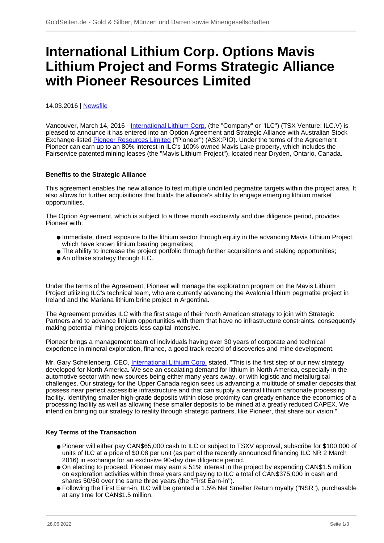# **International Lithium Corp. Options Mavis Lithium Project and Forms Strategic Alliance with Pioneer Resources Limited**

14.03.2016 | [Newsfile](/profil/273--Newsfile)

Vancouver, March 14, 2016 - [International Lithium Corp.](/minen/1779--International-Lithium-Corp) (the "Company" or "ILC") (TSX Venture: ILC.V) is pleased to announce it has entered into an Option Agreement and Strategic Alliance with Australian Stock Exchange-listed **Pioneer Resources Limited** ("Pioneer") (ASX:PIO). Under the terms of the Agreement Pioneer can earn up to an 80% interest in ILC's 100% owned Mavis Lake property, which includes the Fairservice patented mining leases (the "Mavis Lithium Project"), located near Dryden, Ontario, Canada.

### **Benefits to the Strategic Alliance**

This agreement enables the new alliance to test multiple undrilled pegmatite targets within the project area. It also allows for further acquisitions that builds the alliance's ability to engage emerging lithium market opportunities.

The Option Agreement, which is subject to a three month exclusivity and due diligence period, provides Pioneer with:

- Immediate, direct exposure to the lithium sector through equity in the advancing Mavis Lithium Project, which have known lithium bearing pegmatites;
- The ability to increase the project portfolio through further acquisitions and staking opportunities;
- An offtake strategy through ILC.

Under the terms of the Agreement, Pioneer will manage the exploration program on the Mavis Lithium Project utilizing ILC's technical team, who are currently advancing the Avalonia lithium pegmatite project in Ireland and the Mariana lithium brine project in Argentina.

The Agreement provides ILC with the first stage of their North American strategy to join with Strategic Partners and to advance lithium opportunities with them that have no infrastructure constraints, consequently making potential mining projects less capital intensive.

Pioneer brings a management team of individuals having over 30 years of corporate and technical experience in mineral exploration, finance, a good track record of discoveries and mine development.

Mr. Gary Schellenberg, CEO, [International Lithium Corp.](/minen/1779--International-Lithium-Corp) stated, "This is the first step of our new strategy developed for North America. We see an escalating demand for lithium in North America, especially in the automotive sector with new sources being either many years away, or with logistic and metallurgical challenges. Our strategy for the Upper Canada region sees us advancing a multitude of smaller deposits that possess near perfect accessible infrastructure and that can supply a central lithium carbonate processing facility. Identifying smaller high-grade deposits within close proximity can greatly enhance the economics of a processing facility as well as allowing these smaller deposits to be mined at a greatly reduced CAPEX. We intend on bringing our strategy to reality through strategic partners, like Pioneer, that share our vision."

## **Key Terms of the Transaction**

- Pioneer will either pay CAN\$65,000 cash to ILC or subject to TSXV approval, subscribe for \$100,000 of units of ILC at a price of \$0.08 per unit (as part of the recently announced financing ILC NR 2 March 2016) in exchange for an exclusive 90-day due diligence period.
- On electing to proceed, Pioneer may earn a 51% interest in the project by expending CAN\$1.5 million on exploration activities within three years and paying to ILC a total of CAN\$375,000 in cash and shares 50/50 over the same three years (the "First Earn-in").
- Following the First Earn-in, ILC will be granted a 1.5% Net Smelter Return royalty ("NSR"), purchasable at any time for CAN\$1.5 million.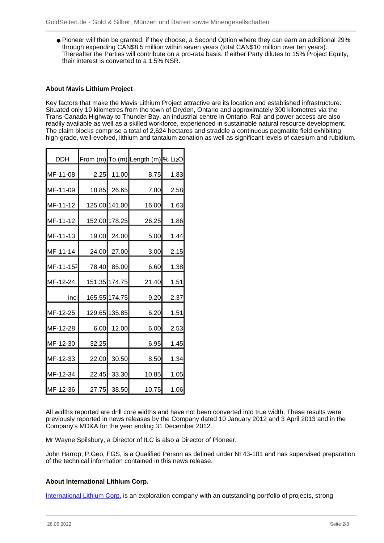● Pioneer will then be granted, if they choose, a Second Option where they can earn an additional 29% through expending CAN\$8.5 million within seven years (total CAN\$10 million over ten years). Thereafter the Parties will contribute on a pro-rata basis. If either Party dilutes to 15% Project Equity, their interest is converted to a 1.5% NSR.

### **About Mavis Lithium Project**

Key factors that make the Mavis Lithium Project attractive are its location and established infrastructure. Situated only 19 kilometres from the town of Dryden, Ontario and approximately 300 kilometres via the Trans-Canada Highway to Thunder Bay, an industrial centre in Ontario. Rail and power access are also readily available as well as a skilled workforce, experienced in sustainable natural resource development. The claim blocks comprise a total of 2,624 hectares and straddle a continuous pegmatite field exhibiting high-grade, well-evolved, lithium and tantalum zonation as well as significant levels of caesium and rubidium.

| <b>DDH</b> |       |               | From (m) To (m) Length (m) % Li2O |      |
|------------|-------|---------------|-----------------------------------|------|
| MF-11-08   | 2.25  | 11.00         | 8.75                              | 1.83 |
| MF-11-09   |       | 18.85 26.65   | 7.80                              | 2.58 |
| MF-11-12   |       | 125.00 141.00 | 16.00                             | 1.63 |
| MF-11-12   |       | 152.00 178.25 | 26.25                             | 1.86 |
| MF-11-13   |       | 19.00 24.00   | 5.00                              | 1.44 |
| MF-11-14   |       | 24.00 27.00   | 3.00                              | 2.15 |
| MF-11-152  | 78.40 | 85.00         | 6.60                              | 1.38 |
| MF-12-24   |       | 151.35 174.75 | 21.40                             | 1.51 |
| incl       |       | 165.55 174.75 | 9.20                              | 2.37 |
| MF-12-25   |       | 129.65 135.85 | 6.20                              | 1.51 |
| MF-12-28   | 6.00  | 12.00         | 6.00                              | 2.53 |
| MF-12-30   | 32.25 |               | 6.95                              | 1.45 |
| MF-12-33   | 22.00 | 30.50         | 8.50                              | 1.34 |
| MF-12-34   | 22.45 | 33.30         | 10.85                             | 1.05 |
| MF-12-36   | 27.75 | 38.50         | 10.75                             | 1.06 |

All widths reported are drill core widths and have not been converted into true width. These results were previously reported in news releases by the Company dated 10 January 2012 and 3 April 2013 and in the Company's MD&A for the year ending 31 December 2012.

Mr Wayne Spilsbury, a Director of ILC is also a Director of Pioneer.

John Harrop, P.Geo, FGS, is a Qualified Person as defined under NI 43-101 and has supervised preparation of the technical information contained in this news release.

#### **About International Lithium Corp.**

[International Lithium Corp.](/minen/1779--International-Lithium-Corp) is an exploration company with an outstanding portfolio of projects, strong